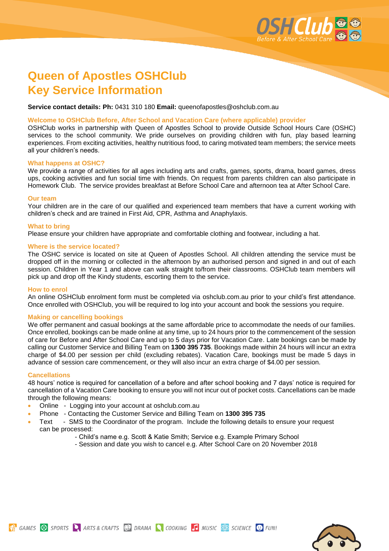

# **Queen of Apostles OSHClub Key Service Information**

**Service contact details: Ph:** 0431 310 180 **Email:** queenofapostles@oshclub.com.au

## **Welcome to OSHClub Before, After School and Vacation Care (where applicable) provider**

OSHClub works in partnership with Queen of Apostles School to provide Outside School Hours Care (OSHC) services to the school community. We pride ourselves on providing children with fun, play based learning experiences. From exciting activities, healthy nutritious food, to caring motivated team members; the service meets all your children's needs.

#### **What happens at OSHC?**

We provide a range of activities for all ages including arts and crafts, games, sports, drama, board games, dress ups, cooking activities and fun social time with friends. On request from parents children can also participate in Homework Club. The service provides breakfast at Before School Care and afternoon tea at After School Care.

#### **Our team**

Your children are in the care of our qualified and experienced team members that have a current working with children's check and are trained in First Aid, CPR, Asthma and Anaphylaxis.

#### **What to bring**

Please ensure your children have appropriate and comfortable clothing and footwear, including a hat.

## **Where is the service located?**

The OSHC service is located on site at Queen of Apostles School. All children attending the service must be dropped off in the morning or collected in the afternoon by an authorised person and signed in and out of each session. Children in Year 1 and above can walk straight to/from their classrooms. OSHClub team members will pick up and drop off the Kindy students, escorting them to the service.

#### **How to enrol**

An online OSHClub enrolment form must be completed via [oshclub.com.au](http://www.oshclub.com.au/) prior to your child's first attendance. Once enrolled with OSHClub, you will be required to log into your account and book the sessions you require.

#### **Making or cancelling bookings**

We offer permanent and casual bookings at the same affordable price to accommodate the needs of our families. Once enrolled, bookings can be made online at any time, up to 24 hours prior to the commencement of the session of care for Before and After School Care and up to 5 days prior for Vacation Care. Late bookings can be made by calling our Customer Service and Billing Team on **1300 395 735**. Bookings made within 24 hours will incur an extra charge of \$4.00 per session per child (excluding rebates). Vacation Care, bookings must be made 5 days in advance of session care commencement, or they will also incur an extra charge of \$4.00 per session.

# **Cancellations**

48 hours' notice is required for cancellation of a before and after school booking and 7 days' notice is required for cancellation of a Vacation Care booking to ensure you will not incur out of pocket costs. Cancellations can be made through the following means:

- Online Logging into your account at [oshclub.com.au](http://www.oshclub.com.au/)
- Phone Contacting the Customer Service and Billing Team on **1300 395 735**
- Text SMS to the Coordinator of the program. Include the following details to ensure your request can be processed:
	- Child's name e.g. Scott & Katie Smith; Service e.g. Example Primary School
	- Session and date you wish to cancel e.g. After School Care on 20 November 2018